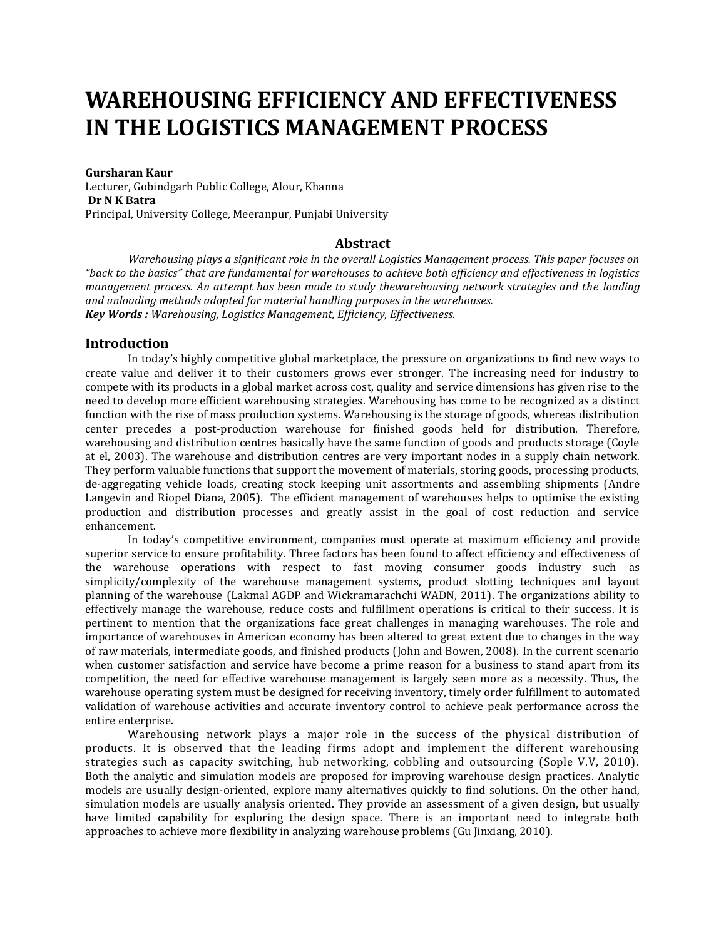# **WAREHOUSING EFFICIENCY AND EFFECTIVENESS IN THE LOGISTICS MANAGEMENT PROCESS**

**Gursharan Kaur**

Lecturer, Gobindgarh Public College, Alour, Khanna **Dr N K Batra** Principal, University College, Meeranpur, Punjabi University

## **Abstract**

*Warehousing plays a significant role in the overall Logistics Management process. This paper focuses on "back to the basics" that are fundamental for warehouses to achieve both efficiency and effectiveness in logistics management process. An attempt has been made to study thewarehousing network strategies and the loading and unloading methods adopted for material handling purposes in the warehouses. Key Words : Warehousing, Logistics Management, Efficiency, Effectiveness.*

## **Introduction**

In today's highly competitive global marketplace, the pressure on organizations to find new ways to create value and deliver it to their customers grows ever stronger. The increasing need for industry to compete with its products in a global market across cost, quality and service dimensions has given rise to the need to develop more efficient warehousing strategies. Warehousing has come to be recognized as a distinct function with the rise of mass production systems. Warehousing is the storage of goods, whereas distribution center precedes a post-production warehouse for finished goods held for distribution. Therefore, warehousing and distribution centres basically have the same function of goods and products storage (Coyle at el, 2003). The warehouse and distribution centres are very important nodes in a supply chain network. They perform valuable functions that support the movement of materials, storing goods, processing products, de-aggregating vehicle loads, creating stock keeping unit assortments and assembling shipments (Andre Langevin and Riopel Diana, 2005). The efficient management of warehouses helps to optimise the existing production and distribution processes and greatly assist in the goal of cost reduction and service enhancement.

In today's competitive environment, companies must operate at maximum efficiency and provide superior service to ensure profitability. Three factors has been found to affect efficiency and effectiveness of the warehouse operations with respect to fast moving consumer goods industry such as simplicity/complexity of the warehouse management systems, product slotting techniques and layout planning of the warehouse (Lakmal AGDP and Wickramarachchi WADN, 2011). The organizations ability to effectively manage the warehouse, reduce costs and fulfillment operations is critical to their success. It is pertinent to mention that the organizations face great challenges in managing warehouses. The role and importance of warehouses in American economy has been altered to great extent due to changes in the way of raw materials, intermediate goods, and finished products (John and Bowen, 2008). In the current scenario when customer satisfaction and service have become a prime reason for a business to stand apart from its competition, the need for effective warehouse management is largely seen more as a necessity. Thus, the warehouse operating system must be designed for receiving inventory, timely order fulfillment to automated validation of warehouse activities and accurate inventory control to achieve peak performance across the entire enterprise.

Warehousing network plays a major role in the success of the physical distribution of products. It is observed that the leading firms adopt and implement the different warehousing strategies such as capacity switching, hub networking, cobbling and outsourcing (Sople V.V, 2010). Both the analytic and simulation models are proposed for improving warehouse design practices. Analytic models are usually design-oriented, explore many alternatives quickly to find solutions. On the other hand, simulation models are usually analysis oriented. They provide an assessment of a given design, but usually have limited capability for exploring the design space. There is an important need to integrate both approaches to achieve more flexibility in analyzing warehouse problems (Gu Jinxiang, 2010).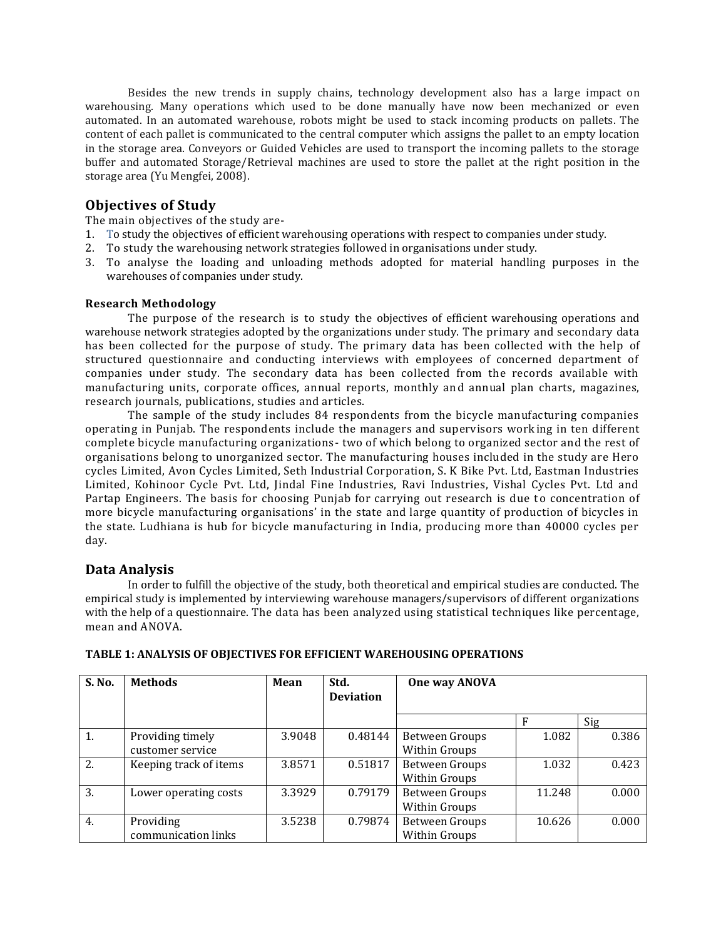Besides the new trends in supply chains, technology development also has a large impact on warehousing. Many operations which used to be done manually have now been mechanized or even automated. In an automated warehouse, robots might be used to stack incoming products on pallets. The content of each pallet is communicated to the central computer which assigns the pallet to an empty location in the storage area. Conveyors or Guided Vehicles are used to transport the incoming pallets to the storage buffer and automated Storage/Retrieval machines are used to store the pallet at the right position in the storage area (Yu Mengfei, 2008).

## **Objectives of Study**

The main objectives of the study are-

- 1. To study the objectives of efficient warehousing operations with respect to companies under study.
- 2. To study the warehousing network strategies followed in organisations under study.
- 3. To analyse the loading and unloading methods adopted for material handling purposes in the warehouses of companies under study.

#### **Research Methodology**

The purpose of the research is to study the objectives of efficient warehousing operations and warehouse network strategies adopted by the organizations under study. The primary and secondary data has been collected for the purpose of study. The primary data has been collected with the help of structured questionnaire and conducting interviews with employees of concerned department of companies under study. The secondary data has been collected from the records available with manufacturing units, corporate offices, annual reports, monthly and annual plan charts, magazines, research journals, publications, studies and articles.

The sample of the study includes 84 respondents from the bicycle manufacturing companies operating in Punjab. The respondents include the managers and supervisors work ing in ten different complete bicycle manufacturing organizations- two of which belong to organized sector and the rest of organisations belong to unorganized sector. The manufacturing houses included in the study are Hero cycles Limited, Avon Cycles Limited, Seth Industrial Corporation, S. K Bike Pvt. Ltd, Eastman Industries Limited, Kohinoor Cycle Pvt. Ltd, Jindal Fine Industries, Ravi Industries, Vishal Cycles Pvt. Ltd and Partap Engineers. The basis for choosing Punjab for carrying out research is due to concentration of more bicycle manufacturing organisations' in the state and large quantity of production of bicycles in the state. Ludhiana is hub for bicycle manufacturing in India, producing more than 40000 cycles per day.

### **Data Analysis**

In order to fulfill the objective of the study, both theoretical and empirical studies are conducted. The empirical study is implemented by interviewing warehouse managers/supervisors of different organizations with the help of a questionnaire. The data has been analyzed using statistical techniques like percentage, mean and ANOVA.

| S. No.           | <b>Methods</b>                       | Mean   | Std.<br><b>Deviation</b> | One way ANOVA                   |        |       |
|------------------|--------------------------------------|--------|--------------------------|---------------------------------|--------|-------|
|                  |                                      |        |                          |                                 |        | Sig   |
| 1.               | Providing timely<br>customer service | 3.9048 | 0.48144                  | Between Groups<br>Within Groups | 1.082  | 0.386 |
| 2.               | Keeping track of items               | 3.8571 | 0.51817                  | Between Groups<br>Within Groups | 1.032  | 0.423 |
| 3.               | Lower operating costs                | 3.3929 | 0.79179                  | Between Groups<br>Within Groups | 11.248 | 0.000 |
| $\overline{4}$ . | Providing<br>communication links     | 3.5238 | 0.79874                  | Between Groups<br>Within Groups | 10.626 | 0.000 |

#### **TABLE 1: ANALYSIS OF OBJECTIVES FOR EFFICIENT WAREHOUSING OPERATIONS**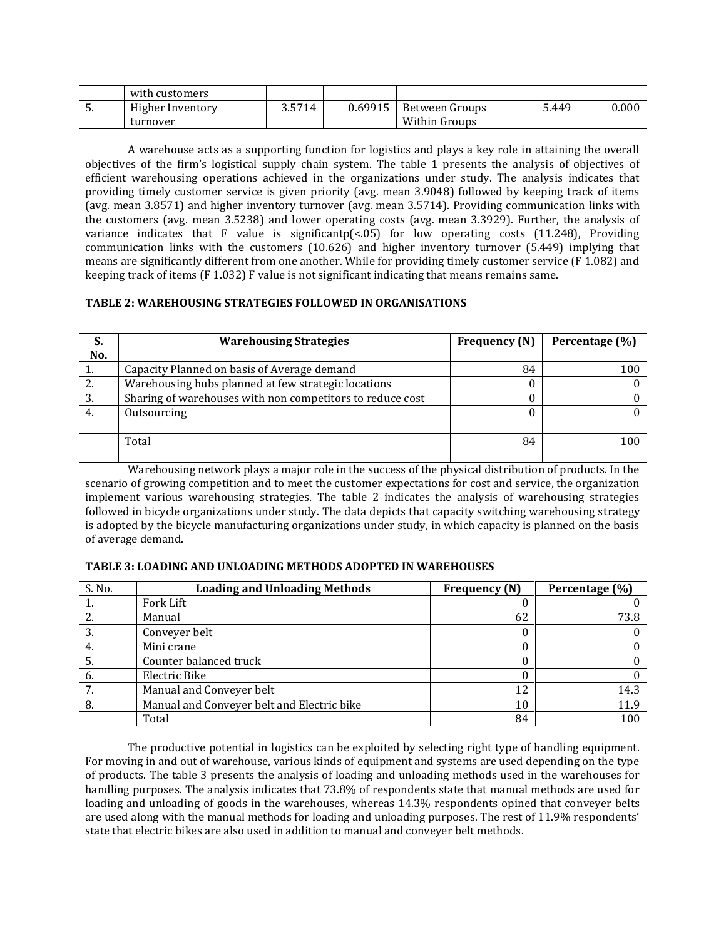|      | with customers   |        |         |                |       |       |
|------|------------------|--------|---------|----------------|-------|-------|
| . ບ. | Higher Inventory | 3.5714 | 0.69915 | Between Groups | 5.449 | 0.000 |
|      | turnover         |        |         | Within Groups  |       |       |

A warehouse acts as a supporting function for logistics and plays a key role in attaining the overall objectives of the firm's logistical supply chain system. The table 1 presents the analysis of objectives of efficient warehousing operations achieved in the organizations under study. The analysis indicates that providing timely customer service is given priority (avg. mean 3.9048) followed by keeping track of items (avg. mean 3.8571) and higher inventory turnover (avg. mean 3.5714). Providing communication links with the customers (avg. mean 3.5238) and lower operating costs (avg. mean 3.3929). Further, the analysis of variance indicates that F value is significantp(<.05) for low operating costs (11.248), Providing communication links with the customers (10.626) and higher inventory turnover (5.449) implying that means are significantly different from one another. While for providing timely customer service (F 1.082) and keeping track of items (F 1.032) F value is not significant indicating that means remains same.

## **TABLE 2: WAREHOUSING STRATEGIES FOLLOWED IN ORGANISATIONS**

| S.  | <b>Warehousing Strategies</b>                             | <b>Frequency (N)</b> | Percentage (%) |
|-----|-----------------------------------------------------------|----------------------|----------------|
| No. |                                                           |                      |                |
|     | Capacity Planned on basis of Average demand               | 84                   | 100            |
| 2.  | Warehousing hubs planned at few strategic locations       |                      |                |
| 3.  | Sharing of warehouses with non competitors to reduce cost |                      |                |
| 4.  | Outsourcing                                               |                      |                |
|     |                                                           |                      |                |
|     | Total                                                     | 84                   | 100            |
|     |                                                           |                      |                |

Warehousing network plays a major role in the success of the physical distribution of products. In the scenario of growing competition and to meet the customer expectations for cost and service, the organization implement various warehousing strategies. The table 2 indicates the analysis of warehousing strategies followed in bicycle organizations under study. The data depicts that capacity switching warehousing strategy is adopted by the bicycle manufacturing organizations under study, in which capacity is planned on the basis of average demand.

### **TABLE 3: LOADING AND UNLOADING METHODS ADOPTED IN WAREHOUSES**

| S. No. | <b>Loading and Unloading Methods</b>       | <b>Frequency (N)</b> | Percentage (%) |
|--------|--------------------------------------------|----------------------|----------------|
|        | Fork Lift                                  |                      |                |
|        | Manual                                     | 62                   | 73.8           |
|        | Conveyer belt                              |                      |                |
| 4.     | Mini crane                                 |                      |                |
|        | Counter balanced truck                     |                      |                |
| 6.     | Electric Bike                              |                      |                |
|        | Manual and Conveyer belt                   | 12                   | 14.3           |
| 8.     | Manual and Conveyer belt and Electric bike | 10                   | 11.9           |
|        | Total                                      | 84                   | 100            |

The productive potential in logistics can be exploited by selecting right type of handling equipment. For moving in and out of warehouse, various kinds of equipment and systems are used depending on the type of products. The table 3 presents the analysis of loading and unloading methods used in the warehouses for handling purposes. The analysis indicates that 73.8% of respondents state that manual methods are used for loading and unloading of goods in the warehouses, whereas 14.3% respondents opined that conveyer belts are used along with the manual methods for loading and unloading purposes. The rest of 11.9% respondents' state that electric bikes are also used in addition to manual and conveyer belt methods.